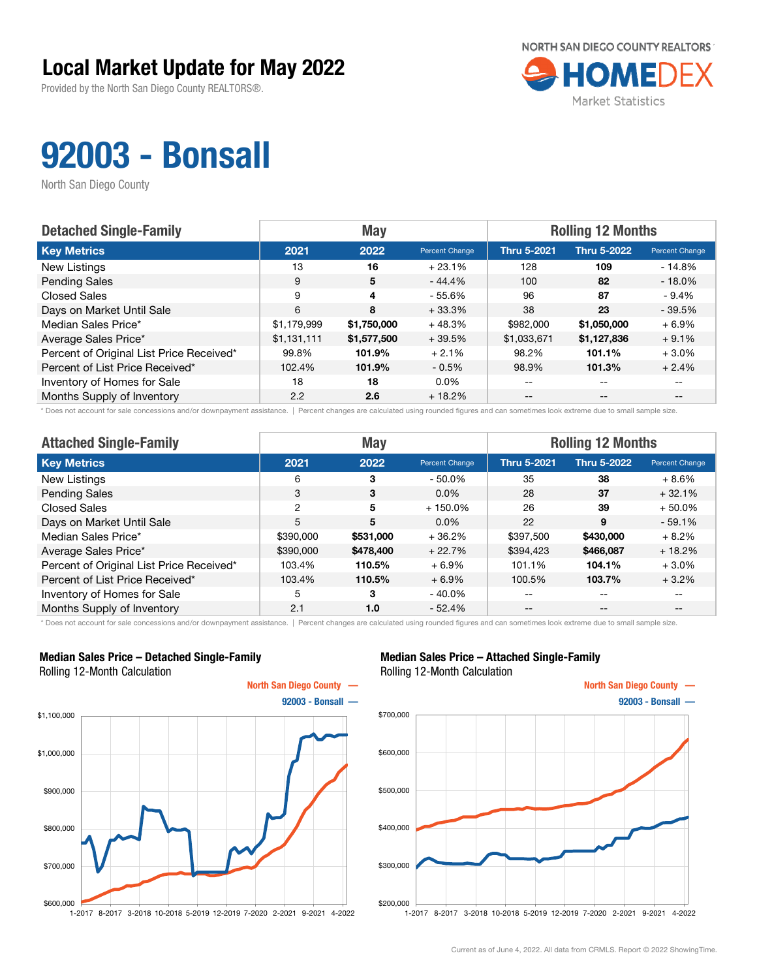Provided by the North San Diego County REALTORS®.



## 92003 - Bonsall

North San Diego County

| <b>Detached Single-Family</b>            |             | <b>May</b>  |                | <b>Rolling 12 Months</b> |                    |                |  |
|------------------------------------------|-------------|-------------|----------------|--------------------------|--------------------|----------------|--|
| <b>Key Metrics</b>                       | 2021        | 2022        | Percent Change | <b>Thru 5-2021</b>       | <b>Thru 5-2022</b> | Percent Change |  |
| New Listings                             | 13          | 16          | $+23.1%$       | 128                      | 109                | $-14.8%$       |  |
| <b>Pending Sales</b>                     | 9           | 5           | $-44.4%$       | 100                      | 82                 | $-18.0\%$      |  |
| <b>Closed Sales</b>                      | 9           | 4           | - 55.6%        | 96                       | 87                 | $-9.4%$        |  |
| Days on Market Until Sale                | 6           | 8           | $+33.3%$       | 38                       | 23                 | $-39.5%$       |  |
| Median Sales Price*                      | \$1,179,999 | \$1,750,000 | $+48.3%$       | \$982,000                | \$1,050,000        | $+6.9\%$       |  |
| Average Sales Price*                     | \$1,131,111 | \$1,577,500 | $+39.5%$       | \$1,033,671              | \$1,127,836        | $+9.1%$        |  |
| Percent of Original List Price Received* | 99.8%       | 101.9%      | $+2.1%$        | 98.2%                    | 101.1%             | $+3.0%$        |  |
| Percent of List Price Received*          | 102.4%      | 101.9%      | $-0.5%$        | 98.9%                    | 101.3%             | $+2.4%$        |  |
| Inventory of Homes for Sale              | 18          | 18          | $0.0\%$        | $- -$                    | $-$                |                |  |
| Months Supply of Inventory               | 2.2         | 2.6         | $+18.2%$       | $- -$                    | $- -$              |                |  |

\* Does not account for sale concessions and/or downpayment assistance. | Percent changes are calculated using rounded figures and can sometimes look extreme due to small sample size.

| <b>Attached Single-Family</b>            |           | <b>May</b> |                | <b>Rolling 12 Months</b> |                    |                |  |
|------------------------------------------|-----------|------------|----------------|--------------------------|--------------------|----------------|--|
| <b>Key Metrics</b>                       | 2021      | 2022       | Percent Change | <b>Thru 5-2021</b>       | <b>Thru 5-2022</b> | Percent Change |  |
| <b>New Listings</b>                      | 6         | 3          | $-50.0\%$      | 35                       | 38                 | $+8.6%$        |  |
| <b>Pending Sales</b>                     | 3         | 3          | $0.0\%$        | 28                       | 37                 | $+32.1%$       |  |
| <b>Closed Sales</b>                      | 2         | 5          | $+150.0\%$     | 26                       | 39                 | $+50.0\%$      |  |
| Days on Market Until Sale                | 5         | 5          | $0.0\%$        | 22                       | 9                  | $-59.1%$       |  |
| Median Sales Price*                      | \$390,000 | \$531,000  | $+36.2%$       | \$397,500                | \$430,000          | $+8.2%$        |  |
| Average Sales Price*                     | \$390,000 | \$478,400  | $+22.7%$       | \$394,423                | \$466,087          | $+18.2%$       |  |
| Percent of Original List Price Received* | 103.4%    | 110.5%     | $+6.9%$        | 101.1%                   | 104.1%             | $+3.0%$        |  |
| Percent of List Price Received*          | 103.4%    | 110.5%     | $+6.9%$        | 100.5%                   | 103.7%             | $+3.2%$        |  |
| Inventory of Homes for Sale              | 5         | 3          | $-40.0\%$      | --                       | $\qquad \qquad -$  | $- -$          |  |
| Months Supply of Inventory               | 2.1       | 1.0        | $-52.4%$       | $ -$                     | $- -$              |                |  |

\* Does not account for sale concessions and/or downpayment assistance. | Percent changes are calculated using rounded figures and can sometimes look extreme due to small sample size.

#### Median Sales Price – Detached Single-Family Rolling 12-Month Calculation



#### Median Sales Price – Attached Single-Family Rolling 12-Month Calculation

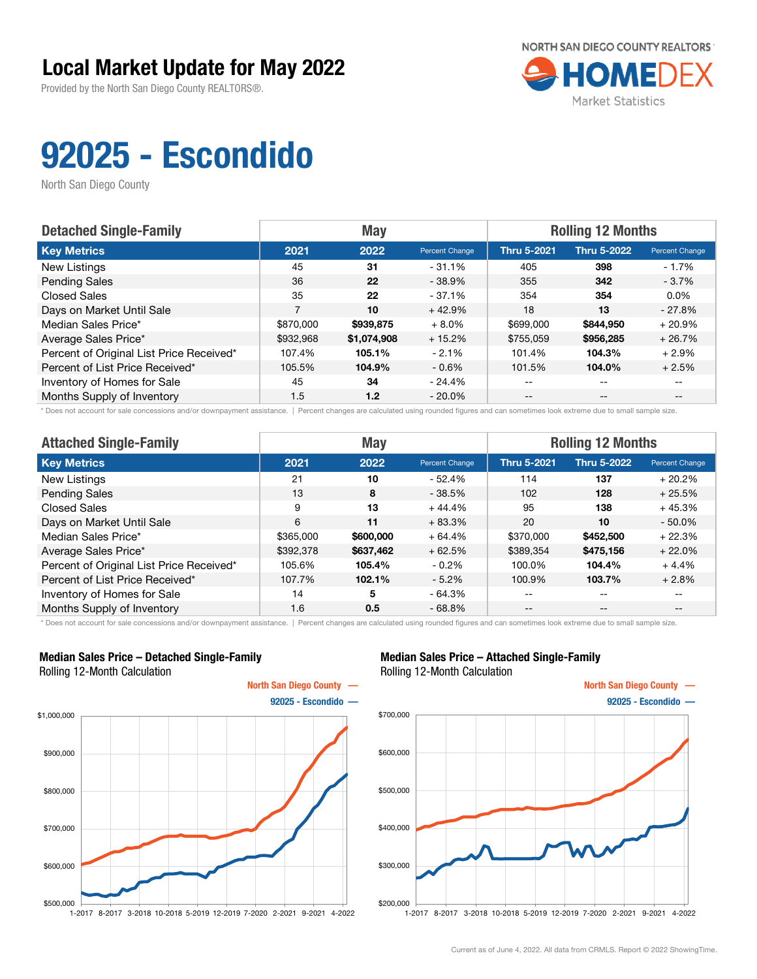Provided by the North San Diego County REALTORS®.



# 92025 - Escondido

North San Diego County

| <b>Detached Single-Family</b>            |           | <b>May</b>  |                | <b>Rolling 12 Months</b> |                    |                       |  |
|------------------------------------------|-----------|-------------|----------------|--------------------------|--------------------|-----------------------|--|
| <b>Key Metrics</b>                       | 2021      | 2022        | Percent Change | <b>Thru 5-2021</b>       | <b>Thru 5-2022</b> | <b>Percent Change</b> |  |
| New Listings                             | 45        | 31          | $-31.1%$       | 405                      | 398                | $-1.7\%$              |  |
| <b>Pending Sales</b>                     | 36        | 22          | $-38.9%$       | 355                      | 342                | $-3.7%$               |  |
| <b>Closed Sales</b>                      | 35        | 22          | $-37.1%$       | 354                      | 354                | $0.0\%$               |  |
| Days on Market Until Sale                | 7         | 10          | $+42.9%$       | 18                       | 13                 | $-27.8%$              |  |
| Median Sales Price*                      | \$870,000 | \$939,875   | $+8.0%$        | \$699,000                | \$844,950          | $+20.9%$              |  |
| Average Sales Price*                     | \$932,968 | \$1,074,908 | $+15.2%$       | \$755,059                | \$956,285          | $+26.7%$              |  |
| Percent of Original List Price Received* | 107.4%    | 105.1%      | $-2.1%$        | 101.4%                   | 104.3%             | $+2.9%$               |  |
| Percent of List Price Received*          | 105.5%    | 104.9%      | $-0.6%$        | 101.5%                   | 104.0%             | $+2.5%$               |  |
| Inventory of Homes for Sale              | 45        | 34          | - 24.4%        | $- -$                    | $\qquad \qquad -$  |                       |  |
| Months Supply of Inventory               | 1.5       | 1.2         | $-20.0\%$      | $- -$                    | $- -$              |                       |  |

\* Does not account for sale concessions and/or downpayment assistance. | Percent changes are calculated using rounded figures and can sometimes look extreme due to small sample size.

| <b>Attached Single-Family</b>            |           | <b>May</b> |                       | <b>Rolling 12 Months</b> |                    |                |  |
|------------------------------------------|-----------|------------|-----------------------|--------------------------|--------------------|----------------|--|
| <b>Key Metrics</b>                       | 2021      | 2022       | <b>Percent Change</b> | <b>Thru 5-2021</b>       | <b>Thru 5-2022</b> | Percent Change |  |
| New Listings                             | 21        | 10         | $-52.4%$              | 114                      | 137                | $+20.2%$       |  |
| <b>Pending Sales</b>                     | 13        | 8          | $-38.5%$              | 102                      | 128                | $+25.5%$       |  |
| <b>Closed Sales</b>                      | 9         | 13         | $+44.4%$              | 95                       | 138                | $+45.3%$       |  |
| Days on Market Until Sale                | 6         | 11         | $+83.3%$              | 20                       | 10                 | $-50.0%$       |  |
| Median Sales Price*                      | \$365,000 | \$600,000  | $+64.4%$              | \$370,000                | \$452,500          | $+22.3%$       |  |
| Average Sales Price*                     | \$392,378 | \$637,462  | $+62.5%$              | \$389,354                | \$475,156          | $+22.0%$       |  |
| Percent of Original List Price Received* | 105.6%    | 105.4%     | $-0.2\%$              | 100.0%                   | 104.4%             | $+4.4%$        |  |
| Percent of List Price Received*          | 107.7%    | 102.1%     | $-5.2\%$              | 100.9%                   | 103.7%             | $+2.8%$        |  |
| Inventory of Homes for Sale              | 14        | 5          | $-64.3%$              | --                       | $- -$              | $- -$          |  |
| Months Supply of Inventory               | 1.6       | 0.5        | $-68.8%$              | --                       | $- -$              | --             |  |

\* Does not account for sale concessions and/or downpayment assistance. | Percent changes are calculated using rounded figures and can sometimes look extreme due to small sample size.

#### Median Sales Price – Detached Single-Family Rolling 12-Month Calculation



#### Median Sales Price – Attached Single-Family Rolling 12-Month Calculation

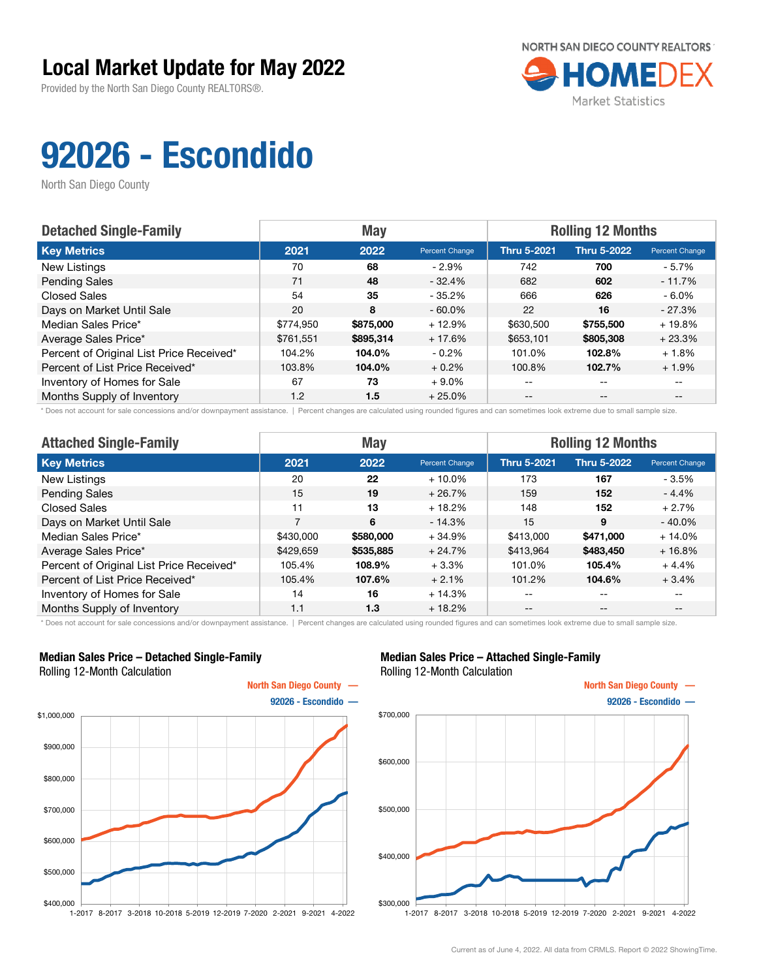Provided by the North San Diego County REALTORS®.



# 92026 - Escondido

North San Diego County

| <b>Detached Single-Family</b>            |           | <b>May</b> |                | <b>Rolling 12 Months</b> |                    |                       |  |
|------------------------------------------|-----------|------------|----------------|--------------------------|--------------------|-----------------------|--|
| <b>Key Metrics</b>                       | 2021      | 2022       | Percent Change | <b>Thru 5-2021</b>       | <b>Thru 5-2022</b> | <b>Percent Change</b> |  |
| New Listings                             | 70        | 68         | $-2.9\%$       | 742                      | 700                | - 5.7%                |  |
| <b>Pending Sales</b>                     | 71        | 48         | $-32.4%$       | 682                      | 602                | $-11.7%$              |  |
| <b>Closed Sales</b>                      | 54        | 35         | $-35.2%$       | 666                      | 626                | $-6.0\%$              |  |
| Days on Market Until Sale                | 20        | 8          | $-60.0\%$      | 22                       | 16                 | $-27.3%$              |  |
| Median Sales Price*                      | \$774.950 | \$875,000  | $+12.9%$       | \$630,500                | \$755,500          | $+19.8%$              |  |
| Average Sales Price*                     | \$761.551 | \$895,314  | $+17.6%$       | \$653,101                | \$805,308          | $+23.3%$              |  |
| Percent of Original List Price Received* | 104.2%    | 104.0%     | $-0.2\%$       | 101.0%                   | 102.8%             | $+1.8%$               |  |
| Percent of List Price Received*          | 103.8%    | 104.0%     | $+0.2%$        | 100.8%                   | 102.7%             | $+1.9%$               |  |
| Inventory of Homes for Sale              | 67        | 73         | $+9.0%$        | $- -$                    | $\qquad \qquad -$  |                       |  |
| Months Supply of Inventory               | 1.2       | 1.5        | $+25.0%$       | $- -$                    | $- -$              |                       |  |

\* Does not account for sale concessions and/or downpayment assistance. | Percent changes are calculated using rounded figures and can sometimes look extreme due to small sample size.

| <b>Attached Single-Family</b>            |           | <b>May</b> |                       | <b>Rolling 12 Months</b> |                    |                |  |
|------------------------------------------|-----------|------------|-----------------------|--------------------------|--------------------|----------------|--|
| <b>Key Metrics</b>                       | 2021      | 2022       | <b>Percent Change</b> | <b>Thru 5-2021</b>       | <b>Thru 5-2022</b> | Percent Change |  |
| New Listings                             | 20        | 22         | $+10.0\%$             | 173                      | 167                | - 3.5%         |  |
| <b>Pending Sales</b>                     | 15        | 19         | $+26.7%$              | 159                      | 152                | - 4.4%         |  |
| Closed Sales                             | 11        | 13         | $+18.2%$              | 148                      | 152                | $+2.7%$        |  |
| Days on Market Until Sale                | 7         | 6          | $-14.3%$              | 15                       | 9                  | $-40.0%$       |  |
| Median Sales Price*                      | \$430,000 | \$580,000  | $+34.9%$              | \$413,000                | \$471,000          | $+14.0%$       |  |
| Average Sales Price*                     | \$429,659 | \$535,885  | $+24.7%$              | \$413,964                | \$483,450          | $+16.8%$       |  |
| Percent of Original List Price Received* | 105.4%    | 108.9%     | $+3.3%$               | 101.0%                   | 105.4%             | $+4.4%$        |  |
| Percent of List Price Received*          | 105.4%    | 107.6%     | $+2.1%$               | 101.2%                   | 104.6%             | $+3.4%$        |  |
| Inventory of Homes for Sale              | 14        | 16         | $+14.3%$              | --                       | $\qquad \qquad -$  | $- -$          |  |
| Months Supply of Inventory               | 1.1       | 1.3        | $+18.2%$              | --                       | $\qquad \qquad -$  | $- -$          |  |

\* Does not account for sale concessions and/or downpayment assistance. | Percent changes are calculated using rounded figures and can sometimes look extreme due to small sample size.

#### Median Sales Price – Detached Single-Family Rolling 12-Month Calculation



#### Median Sales Price – Attached Single-Family Rolling 12-Month Calculation

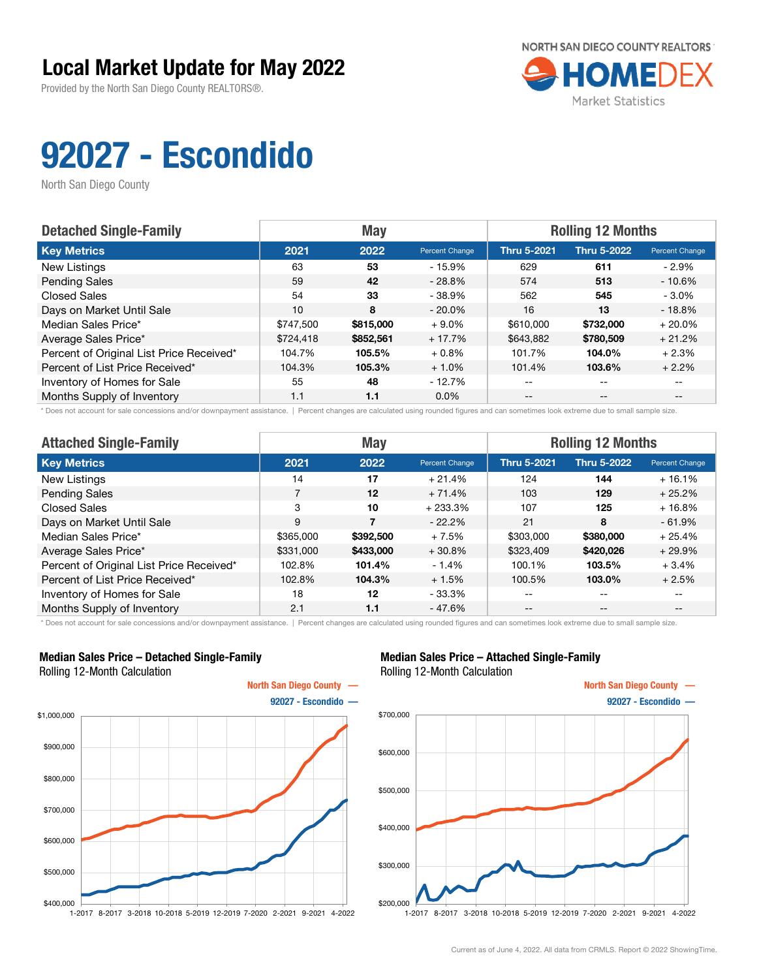Provided by the North San Diego County REALTORS®.



# 92027 - Escondido

North San Diego County

| <b>Detached Single-Family</b>            |           | <b>May</b> |                | <b>Rolling 12 Months</b> |                    |                       |  |
|------------------------------------------|-----------|------------|----------------|--------------------------|--------------------|-----------------------|--|
| <b>Key Metrics</b>                       | 2021      | 2022       | Percent Change | <b>Thru 5-2021</b>       | <b>Thru 5-2022</b> | <b>Percent Change</b> |  |
| New Listings                             | 63        | 53         | - 15.9%        | 629                      | 611                | - 2.9%                |  |
| <b>Pending Sales</b>                     | 59        | 42         | $-28.8%$       | 574                      | 513                | $-10.6%$              |  |
| <b>Closed Sales</b>                      | 54        | 33         | $-38.9%$       | 562                      | 545                | $-3.0\%$              |  |
| Days on Market Until Sale                | 10        | 8          | $-20.0\%$      | 16                       | 13                 | $-18.8%$              |  |
| Median Sales Price*                      | \$747.500 | \$815,000  | $+9.0%$        | \$610,000                | \$732,000          | $+20.0%$              |  |
| Average Sales Price*                     | \$724,418 | \$852,561  | $+17.7%$       | \$643,882                | \$780,509          | $+21.2%$              |  |
| Percent of Original List Price Received* | 104.7%    | 105.5%     | $+0.8\%$       | 101.7%                   | 104.0%             | $+2.3%$               |  |
| Percent of List Price Received*          | 104.3%    | 105.3%     | $+1.0%$        | 101.4%                   | 103.6%             | $+2.2%$               |  |
| Inventory of Homes for Sale              | 55        | 48         | $-12.7%$       | $- -$                    | $\qquad \qquad -$  |                       |  |
| Months Supply of Inventory               | 1.1       | 1.1        | $0.0\%$        | $- -$                    | $- -$              |                       |  |

\* Does not account for sale concessions and/or downpayment assistance. | Percent changes are calculated using rounded figures and can sometimes look extreme due to small sample size.

| <b>Attached Single-Family</b>            |           | <b>May</b> |                | <b>Rolling 12 Months</b> |                   |                |  |
|------------------------------------------|-----------|------------|----------------|--------------------------|-------------------|----------------|--|
| <b>Key Metrics</b>                       | 2021      | 2022       | Percent Change | <b>Thru 5-2021</b>       | Thru 5-2022       | Percent Change |  |
| New Listings                             | 14        | 17         | $+21.4%$       | 124                      | 144               | $+16.1%$       |  |
| <b>Pending Sales</b>                     | 7         | $12 \,$    | $+71.4%$       | 103                      | 129               | $+25.2%$       |  |
| <b>Closed Sales</b>                      | 3         | 10         | $+233.3%$      | 107                      | 125               | $+16.8%$       |  |
| Days on Market Until Sale                | 9         |            | $-22.2%$       | 21                       | 8                 | $-61.9%$       |  |
| Median Sales Price*                      | \$365,000 | \$392,500  | $+7.5%$        | \$303,000                | \$380,000         | $+25.4%$       |  |
| Average Sales Price*                     | \$331,000 | \$433,000  | $+30.8%$       | \$323,409                | \$420,026         | $+29.9%$       |  |
| Percent of Original List Price Received* | 102.8%    | 101.4%     | $-1.4\%$       | 100.1%                   | 103.5%            | $+3.4%$        |  |
| Percent of List Price Received*          | 102.8%    | 104.3%     | $+1.5%$        | 100.5%                   | 103.0%            | $+2.5%$        |  |
| Inventory of Homes for Sale              | 18        | 12         | $-33.3%$       | --                       | $\qquad \qquad -$ | $- -$          |  |
| Months Supply of Inventory               | 2.1       | 1.1        | $-47.6%$       | $- -$                    | $\qquad \qquad -$ | $- -$          |  |

\* Does not account for sale concessions and/or downpayment assistance. | Percent changes are calculated using rounded figures and can sometimes look extreme due to small sample size.

#### Median Sales Price – Detached Single-Family Rolling 12-Month Calculation



#### Median Sales Price – Attached Single-Family Rolling 12-Month Calculation

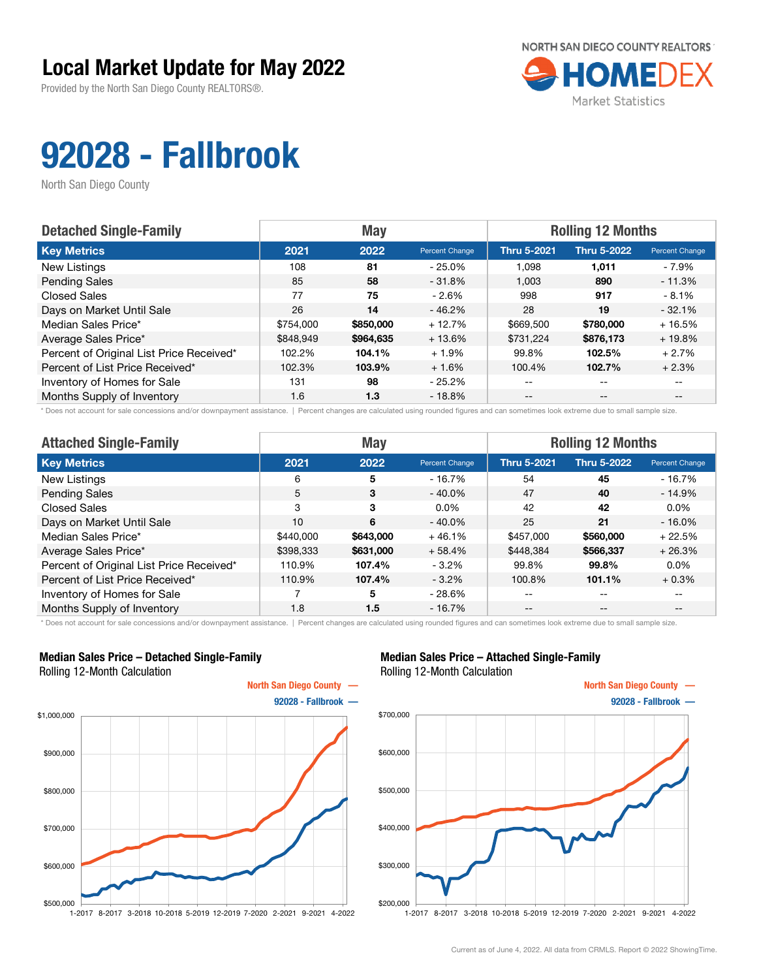Provided by the North San Diego County REALTORS®.



# 92028 - Fallbrook

North San Diego County

| <b>Detached Single-Family</b>            |           | <b>May</b> |                | <b>Rolling 12 Months</b> |                    |                       |  |
|------------------------------------------|-----------|------------|----------------|--------------------------|--------------------|-----------------------|--|
| <b>Key Metrics</b>                       | 2021      | 2022       | Percent Change | <b>Thru 5-2021</b>       | <b>Thru 5-2022</b> | <b>Percent Change</b> |  |
| New Listings                             | 108       | 81         | $-25.0\%$      | 1.098                    | 1,011              | - 7.9%                |  |
| <b>Pending Sales</b>                     | 85        | 58         | $-31.8\%$      | 1.003                    | 890                | $-11.3%$              |  |
| <b>Closed Sales</b>                      | 77        | 75         | $-2.6%$        | 998                      | 917                | $-8.1%$               |  |
| Days on Market Until Sale                | 26        | 14         | $-46.2%$       | 28                       | 19                 | $-32.1%$              |  |
| Median Sales Price*                      | \$754,000 | \$850,000  | $+12.7%$       | \$669,500                | \$780,000          | $+16.5%$              |  |
| Average Sales Price*                     | \$848,949 | \$964,635  | $+13.6%$       | \$731,224                | \$876,173          | $+19.8%$              |  |
| Percent of Original List Price Received* | 102.2%    | 104.1%     | $+1.9%$        | 99.8%                    | 102.5%             | $+2.7%$               |  |
| Percent of List Price Received*          | 102.3%    | 103.9%     | $+1.6%$        | 100.4%                   | 102.7%             | $+2.3%$               |  |
| Inventory of Homes for Sale              | 131       | 98         | $-25.2\%$      | --                       | --                 |                       |  |
| Months Supply of Inventory               | 1.6       | 1.3        | $-18.8%$       | $- -$                    | $-$                | $- -$                 |  |

\* Does not account for sale concessions and/or downpayment assistance. | Percent changes are calculated using rounded figures and can sometimes look extreme due to small sample size.

| <b>Attached Single-Family</b>            |           | <b>May</b> |                | <b>Rolling 12 Months</b> |                    |                |  |
|------------------------------------------|-----------|------------|----------------|--------------------------|--------------------|----------------|--|
| <b>Key Metrics</b>                       | 2021      | 2022       | Percent Change | <b>Thru 5-2021</b>       | <b>Thru 5-2022</b> | Percent Change |  |
| New Listings                             | 6         | 5          | $-16.7%$       | 54                       | 45                 | $-16.7%$       |  |
| <b>Pending Sales</b>                     | 5         | 3          | $-40.0\%$      | 47                       | 40                 | $-14.9%$       |  |
| <b>Closed Sales</b>                      | 3         | 3          | $0.0\%$        | 42                       | 42                 | $0.0\%$        |  |
| Days on Market Until Sale                | 10        | 6          | $-40.0\%$      | 25                       | 21                 | $-16.0%$       |  |
| Median Sales Price*                      | \$440,000 | \$643,000  | $+46.1%$       | \$457,000                | \$560,000          | $+22.5%$       |  |
| Average Sales Price*                     | \$398,333 | \$631,000  | $+58.4%$       | \$448,384                | \$566,337          | $+26.3%$       |  |
| Percent of Original List Price Received* | 110.9%    | 107.4%     | $-3.2\%$       | 99.8%                    | 99.8%              | $0.0\%$        |  |
| Percent of List Price Received*          | 110.9%    | 107.4%     | $-3.2\%$       | 100.8%                   | 101.1%             | $+0.3%$        |  |
| Inventory of Homes for Sale              |           | 5          | $-28.6%$       | --                       | $- -$              | --             |  |
| Months Supply of Inventory               | 1.8       | 1.5        | $-16.7%$       | --                       | $- -$              |                |  |

\* Does not account for sale concessions and/or downpayment assistance. | Percent changes are calculated using rounded figures and can sometimes look extreme due to small sample size.

#### Median Sales Price – Detached Single-Family Rolling 12-Month Calculation



#### Median Sales Price – Attached Single-Family Rolling 12-Month Calculation

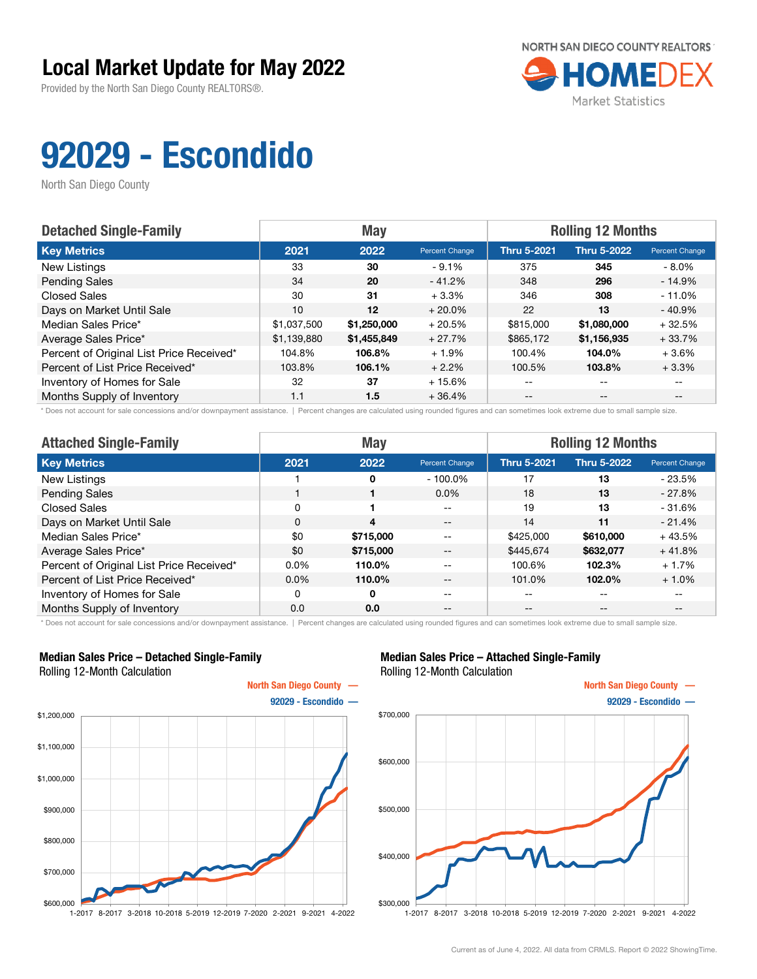Provided by the North San Diego County REALTORS®.



# 92029 - Escondido

North San Diego County

| <b>Detached Single-Family</b>            |             | <b>May</b>  |                | <b>Rolling 12 Months</b> |                    |                       |  |
|------------------------------------------|-------------|-------------|----------------|--------------------------|--------------------|-----------------------|--|
| <b>Key Metrics</b>                       | 2021        | 2022        | Percent Change | <b>Thru 5-2021</b>       | <b>Thru 5-2022</b> | <b>Percent Change</b> |  |
| New Listings                             | 33          | 30          | $-9.1%$        | 375                      | 345                | $-8.0\%$              |  |
| <b>Pending Sales</b>                     | 34          | 20          | $-41.2%$       | 348                      | 296                | $-14.9%$              |  |
| <b>Closed Sales</b>                      | 30          | 31          | $+3.3%$        | 346                      | 308                | $-11.0%$              |  |
| Days on Market Until Sale                | 10          | 12          | $+20.0%$       | 22                       | 13                 | $-40.9%$              |  |
| Median Sales Price*                      | \$1,037,500 | \$1,250,000 | $+20.5%$       | \$815,000                | \$1,080,000        | $+32.5%$              |  |
| Average Sales Price*                     | \$1,139,880 | \$1,455,849 | $+27.7%$       | \$865,172                | \$1,156,935        | $+33.7%$              |  |
| Percent of Original List Price Received* | 104.8%      | 106.8%      | $+1.9%$        | 100.4%                   | 104.0%             | $+3.6%$               |  |
| Percent of List Price Received*          | 103.8%      | 106.1%      | $+2.2%$        | 100.5%                   | 103.8%             | $+3.3%$               |  |
| Inventory of Homes for Sale              | 32          | 37          | $+15.6%$       | --                       | $- -$              |                       |  |
| Months Supply of Inventory               | 1.1         | 1.5         | $+36.4%$       | $- -$                    | $\qquad \qquad -$  |                       |  |

\* Does not account for sale concessions and/or downpayment assistance. | Percent changes are calculated using rounded figures and can sometimes look extreme due to small sample size.

| <b>Attached Single-Family</b>            | <b>May</b> |           |                | <b>Rolling 12 Months</b> |             |                |  |
|------------------------------------------|------------|-----------|----------------|--------------------------|-------------|----------------|--|
| <b>Key Metrics</b>                       | 2021       | 2022      | Percent Change | <b>Thru 5-2021</b>       | Thru 5-2022 | Percent Change |  |
| New Listings                             |            | 0         | $-100.0\%$     | 17                       | 13          | $-23.5%$       |  |
| <b>Pending Sales</b>                     |            |           | $0.0\%$        | 18                       | 13          | $-27.8%$       |  |
| Closed Sales                             | 0          |           | --             | 19                       | 13          | $-31.6%$       |  |
| Days on Market Until Sale                | 0          | 4         | $- -$          | 14                       | 11          | $-21.4%$       |  |
| Median Sales Price*                      | \$0        | \$715,000 | $- -$          | \$425,000                | \$610,000   | $+43.5%$       |  |
| Average Sales Price*                     | \$0        | \$715,000 | $- -$          | \$445,674                | \$632,077   | $+41.8%$       |  |
| Percent of Original List Price Received* | 0.0%       | 110.0%    |                | 100.6%                   | 102.3%      | $+1.7%$        |  |
| Percent of List Price Received*          | $0.0\%$    | 110.0%    | $- -$          | 101.0%                   | 102.0%      | $+1.0%$        |  |
| Inventory of Homes for Sale              | $\Omega$   | $\Omega$  | $- -$          | --                       | --          | $- -$          |  |
| Months Supply of Inventory               | 0.0        | 0.0       | --             | --                       | $- -$       | --             |  |

\* Does not account for sale concessions and/or downpayment assistance. | Percent changes are calculated using rounded figures and can sometimes look extreme due to small sample size.

#### Median Sales Price – Detached Single-Family Rolling 12-Month Calculation



#### Median Sales Price – Attached Single-Family Rolling 12-Month Calculation

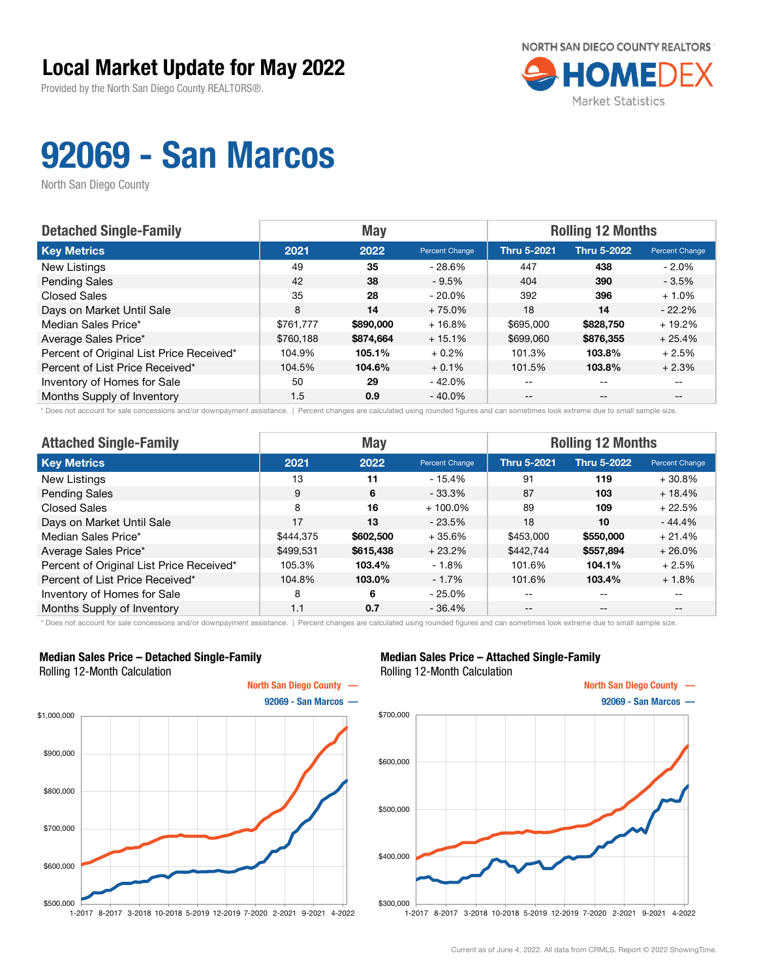Provided by the North San Diego County REALTORS®.



## 92069 - San Marcos

North San Diego County

| <b>Detached Single-Family</b>            |           | <b>May</b> |                | <b>Rolling 12 Months</b> |                    |                |  |
|------------------------------------------|-----------|------------|----------------|--------------------------|--------------------|----------------|--|
| <b>Key Metrics</b>                       | 2021      | 2022       | Percent Change | <b>Thru 5-2021</b>       | <b>Thru 5-2022</b> | Percent Change |  |
| New Listings                             | 49        | 35         | $-28.6%$       | 447                      | 438                | - 2.0%         |  |
| <b>Pending Sales</b>                     | 42        | 38         | $-9.5%$        | 404                      | 390                | $-3.5%$        |  |
| <b>Closed Sales</b>                      | 35        | 28         | $-20.0\%$      | 392                      | 396                | $+1.0%$        |  |
| Days on Market Until Sale                | 8         | 14         | $+75.0%$       | 18                       | 14                 | $-22.2%$       |  |
| Median Sales Price*                      | \$761,777 | \$890,000  | $+16.8%$       | \$695,000                | \$828,750          | $+19.2%$       |  |
| Average Sales Price*                     | \$760.188 | \$874,664  | $+15.1%$       | \$699,060                | \$876,355          | $+25.4%$       |  |
| Percent of Original List Price Received* | 104.9%    | 105.1%     | $+0.2%$        | 101.3%                   | 103.8%             | $+2.5%$        |  |
| Percent of List Price Received*          | 104.5%    | 104.6%     | $+0.1%$        | 101.5%                   | 103.8%             | $+2.3%$        |  |
| Inventory of Homes for Sale              | 50        | 29         | - 42.0%        | $- -$                    | $-$                |                |  |
| Months Supply of Inventory               | 1.5       | 0.9        | $-40.0\%$      | $- -$                    | $- -$              |                |  |

\* Does not account for sale concessions and/or downpayment assistance. | Percent changes are calculated using rounded figures and can sometimes look extreme due to small sample size.

| <b>Attached Single-Family</b>            |           | <b>May</b> |                | <b>Rolling 12 Months</b> |                    |                |  |
|------------------------------------------|-----------|------------|----------------|--------------------------|--------------------|----------------|--|
| <b>Key Metrics</b>                       | 2021      | 2022       | Percent Change | <b>Thru 5-2021</b>       | <b>Thru 5-2022</b> | Percent Change |  |
| New Listings                             | 13        | 11         | $-15.4%$       | 91                       | 119                | $+30.8\%$      |  |
| <b>Pending Sales</b>                     | 9         | 6          | $-33.3%$       | 87                       | 103                | $+18.4%$       |  |
| <b>Closed Sales</b>                      | 8         | 16         | $+100.0\%$     | 89                       | 109                | $+22.5%$       |  |
| Days on Market Until Sale                | 17        | 13         | $-23.5%$       | 18                       | 10                 | $-44.4%$       |  |
| Median Sales Price*                      | \$444.375 | \$602,500  | $+35.6%$       | \$453,000                | \$550,000          | $+21.4%$       |  |
| Average Sales Price*                     | \$499,531 | \$615,438  | $+23.2%$       | \$442,744                | \$557,894          | $+26.0\%$      |  |
| Percent of Original List Price Received* | 105.3%    | 103.4%     | - 1.8%         | 101.6%                   | 104.1%             | $+2.5%$        |  |
| Percent of List Price Received*          | 104.8%    | 103.0%     | $-1.7\%$       | 101.6%                   | 103.4%             | $+1.8%$        |  |
| Inventory of Homes for Sale              | 8         | 6          | $-25.0%$       | --                       | $- -$              | $- -$          |  |
| Months Supply of Inventory               | 1.1       | 0.7        | $-36.4%$       | $ -$                     | $- -$              | --             |  |

\* Does not account for sale concessions and/or downpayment assistance. | Percent changes are calculated using rounded figures and can sometimes look extreme due to small sample size.

#### Median Sales Price – Detached Single-Family Rolling 12-Month Calculation



#### Median Sales Price – Attached Single-Family Rolling 12-Month Calculation

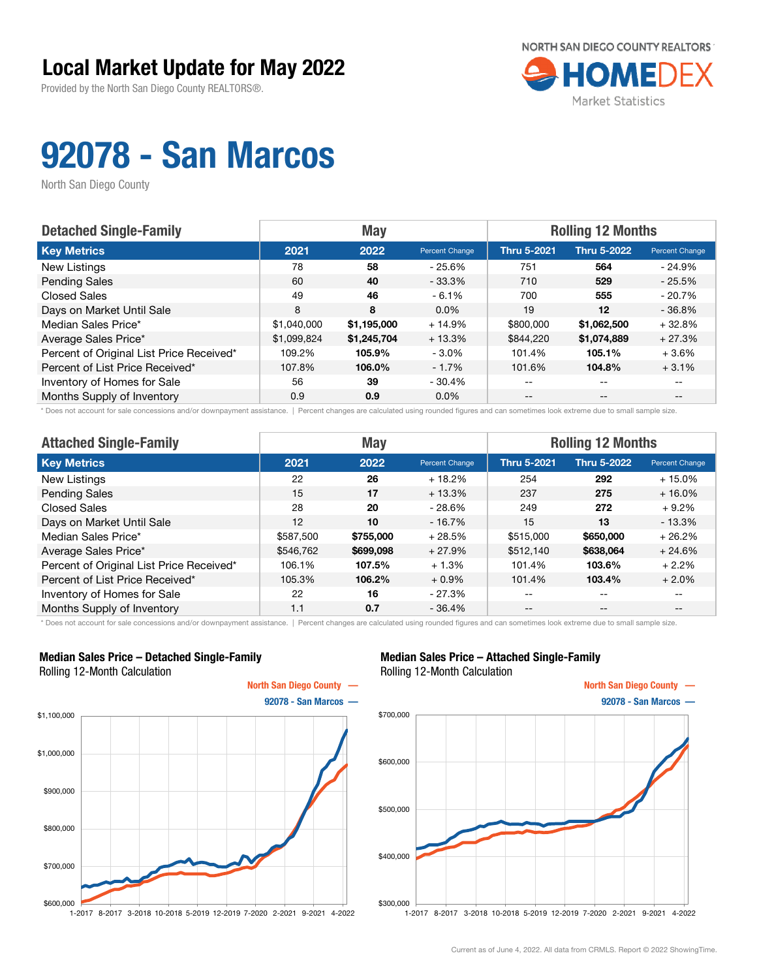Provided by the North San Diego County REALTORS®.



# 92078 - San Marcos

North San Diego County

| <b>Detached Single-Family</b>            |             | <b>May</b>  |                | <b>Rolling 12 Months</b> |                    |                |  |
|------------------------------------------|-------------|-------------|----------------|--------------------------|--------------------|----------------|--|
| <b>Key Metrics</b>                       | 2021        | 2022        | Percent Change | <b>Thru 5-2021</b>       | <b>Thru 5-2022</b> | Percent Change |  |
| New Listings                             | 78          | 58          | $-25.6%$       | 751                      | 564                | $-24.9\%$      |  |
| <b>Pending Sales</b>                     | 60          | 40          | $-33.3\%$      | 710                      | 529                | $-25.5%$       |  |
| <b>Closed Sales</b>                      | 49          | 46          | $-6.1%$        | 700                      | 555                | $-20.7%$       |  |
| Days on Market Until Sale                | 8           | 8           | $0.0\%$        | 19                       | $12 \,$            | $-36.8%$       |  |
| Median Sales Price*                      | \$1,040,000 | \$1,195,000 | $+14.9%$       | \$800,000                | \$1,062,500        | $+32.8%$       |  |
| Average Sales Price*                     | \$1,099,824 | \$1,245,704 | $+13.3%$       | \$844,220                | \$1,074,889        | $+27.3%$       |  |
| Percent of Original List Price Received* | 109.2%      | 105.9%      | $-3.0\%$       | 101.4%                   | 105.1%             | $+3.6%$        |  |
| Percent of List Price Received*          | 107.8%      | 106.0%      | $-1.7%$        | 101.6%                   | 104.8%             | $+3.1%$        |  |
| Inventory of Homes for Sale              | 56          | 39          | $-30.4%$       | $- -$                    | $-$                |                |  |
| Months Supply of Inventory               | 0.9         | 0.9         | $0.0\%$        | $- -$                    | $- -$              |                |  |

Does not account for sale concessions and/or downpayment assistance. | Percent changes are calculated using rounded figures and can sometimes look extreme due to small sample size.

| <b>Attached Single-Family</b>            |           | <b>May</b> |                | <b>Rolling 12 Months</b> |                    |                |  |
|------------------------------------------|-----------|------------|----------------|--------------------------|--------------------|----------------|--|
| <b>Key Metrics</b>                       | 2021      | 2022       | Percent Change | <b>Thru 5-2021</b>       | <b>Thru 5-2022</b> | Percent Change |  |
| New Listings                             | 22        | 26         | $+18.2%$       | 254                      | 292                | $+15.0%$       |  |
| <b>Pending Sales</b>                     | 15        | 17         | $+13.3%$       | 237                      | 275                | $+16.0\%$      |  |
| Closed Sales                             | 28        | 20         | $-28.6%$       | 249                      | 272                | $+9.2%$        |  |
| Days on Market Until Sale                | 12        | 10         | $-16.7%$       | 15                       | 13                 | $-13.3%$       |  |
| Median Sales Price*                      | \$587,500 | \$755,000  | $+28.5%$       | \$515,000                | \$650,000          | $+26.2%$       |  |
| Average Sales Price*                     | \$546,762 | \$699,098  | $+27.9%$       | \$512,140                | \$638,064          | $+24.6%$       |  |
| Percent of Original List Price Received* | 106.1%    | 107.5%     | $+1.3%$        | 101.4%                   | 103.6%             | $+2.2%$        |  |
| Percent of List Price Received*          | 105.3%    | 106.2%     | $+0.9%$        | 101.4%                   | 103.4%             | $+2.0%$        |  |
| Inventory of Homes for Sale              | 22        | 16         | $-27.3%$       | --                       | $\qquad \qquad -$  | --             |  |
| Months Supply of Inventory               | 1.1       | 0.7        | $-36.4%$       | $- -$                    | $- -$              | --             |  |

\* Does not account for sale concessions and/or downpayment assistance. | Percent changes are calculated using rounded figures and can sometimes look extreme due to small sample size.

#### Median Sales Price – Detached Single-Family Rolling 12-Month Calculation



#### Median Sales Price – Attached Single-Family Rolling 12-Month Calculation

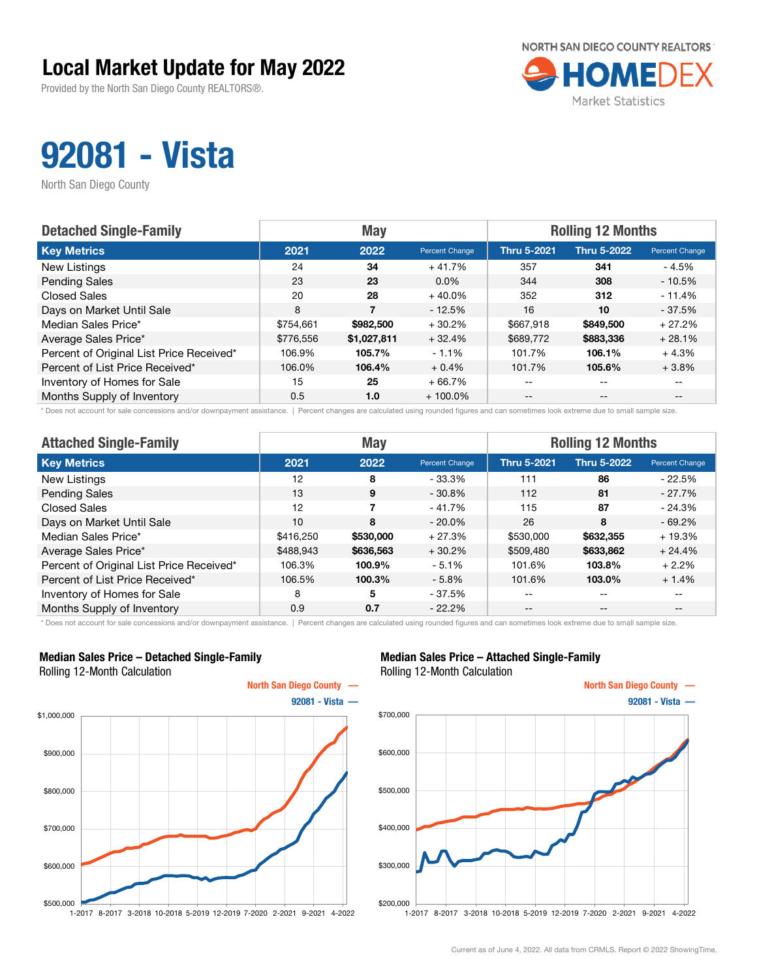Provided by the North San Diego County REALTORS®.



## 92081 - Vista

North San Diego County

| <b>Detached Single-Family</b>            |           | <b>May</b>  |                | <b>Rolling 12 Months</b> |                    |                       |  |
|------------------------------------------|-----------|-------------|----------------|--------------------------|--------------------|-----------------------|--|
| <b>Key Metrics</b>                       | 2021      | 2022        | Percent Change | <b>Thru 5-2021</b>       | <b>Thru 5-2022</b> | <b>Percent Change</b> |  |
| New Listings                             | 24        | 34          | $+41.7%$       | 357                      | 341                | - 4.5%                |  |
| <b>Pending Sales</b>                     | 23        | 23          | $0.0\%$        | 344                      | 308                | $-10.5%$              |  |
| <b>Closed Sales</b>                      | 20        | 28          | $+40.0%$       | 352                      | 312                | $-11.4%$              |  |
| Days on Market Until Sale                | 8         |             | $-12.5%$       | 16                       | 10                 | $-37.5%$              |  |
| Median Sales Price*                      | \$754,661 | \$982,500   | $+30.2%$       | \$667,918                | \$849,500          | $+27.2%$              |  |
| Average Sales Price*                     | \$776,556 | \$1,027,811 | $+32.4%$       | \$689,772                | \$883,336          | $+28.1%$              |  |
| Percent of Original List Price Received* | 106.9%    | 105.7%      | $-1.1%$        | 101.7%                   | 106.1%             | $+4.3%$               |  |
| Percent of List Price Received*          | 106.0%    | 106.4%      | $+0.4%$        | 101.7%                   | 105.6%             | $+3.8%$               |  |
| Inventory of Homes for Sale              | 15        | 25          | $+66.7%$       | $\qquad \qquad -$        | $- -$              | $- -$                 |  |
| Months Supply of Inventory               | 0.5       | 1.0         | $+100.0\%$     | $- -$                    | $- -$              |                       |  |

\* Does not account for sale concessions and/or downpayment assistance. | Percent changes are calculated using rounded figures and can sometimes look extreme due to small sample size.

| <b>Attached Single-Family</b>            |           | <b>May</b> |                | <b>Rolling 12 Months</b> |                    |                |  |
|------------------------------------------|-----------|------------|----------------|--------------------------|--------------------|----------------|--|
| <b>Key Metrics</b>                       | 2021      | 2022       | Percent Change | <b>Thru 5-2021</b>       | <b>Thru 5-2022</b> | Percent Change |  |
| New Listings                             | 12        | 8          | $-33.3%$       | 111                      | 86                 | $-22.5%$       |  |
| <b>Pending Sales</b>                     | 13        | 9          | $-30.8%$       | 112                      | 81                 | $-27.7\%$      |  |
| Closed Sales                             | 12        |            | $-41.7%$       | 115                      | 87                 | $-24.3%$       |  |
| Days on Market Until Sale                | 10        | 8          | $-20.0\%$      | 26                       | 8                  | $-69.2%$       |  |
| Median Sales Price*                      | \$416,250 | \$530,000  | $+27.3%$       | \$530,000                | \$632,355          | $+19.3%$       |  |
| Average Sales Price*                     | \$488.943 | \$636,563  | $+30.2%$       | \$509,480                | \$633,862          | $+24.4%$       |  |
| Percent of Original List Price Received* | 106.3%    | 100.9%     | $-5.1%$        | 101.6%                   | 103.8%             | $+2.2%$        |  |
| Percent of List Price Received*          | 106.5%    | 100.3%     | $-5.8\%$       | 101.6%                   | 103.0%             | $+1.4%$        |  |
| Inventory of Homes for Sale              | 8         | 5          | $-37.5%$       | --                       | $- -$              | $- -$          |  |
| Months Supply of Inventory               | 0.9       | 0.7        | $-22.2%$       | $- -$                    | $\qquad \qquad -$  | $- -$          |  |

\* Does not account for sale concessions and/or downpayment assistance. | Percent changes are calculated using rounded figures and can sometimes look extreme due to small sample size.

#### Median Sales Price – Detached Single-Family Rolling 12-Month Calculation



#### Median Sales Price – Attached Single-Family Rolling 12-Month Calculation

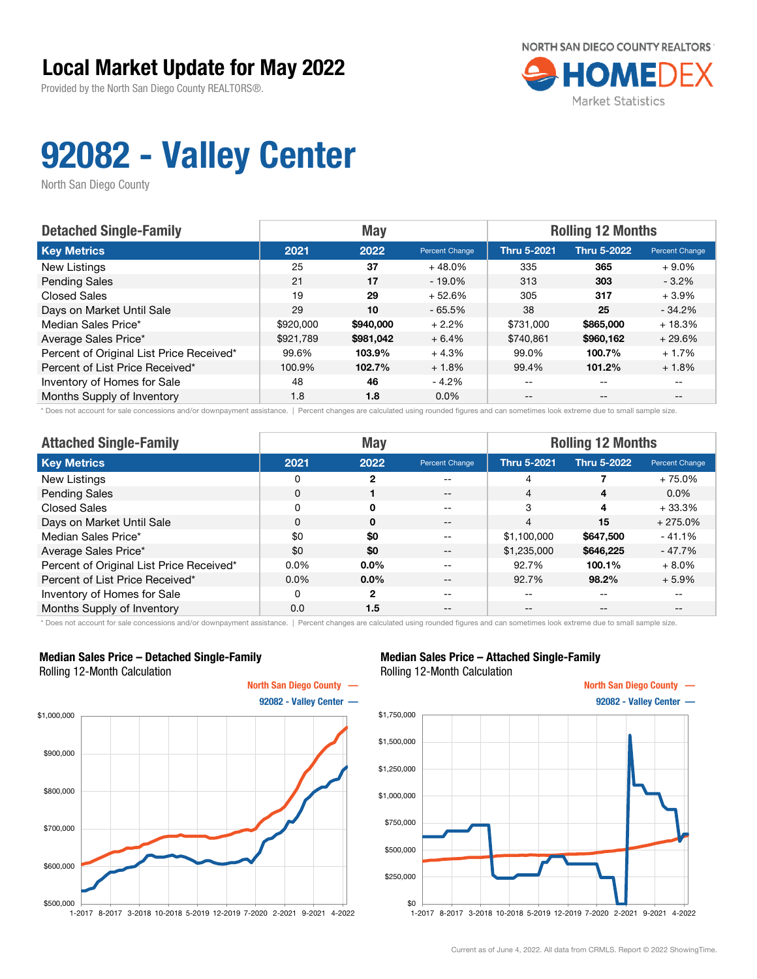Provided by the North San Diego County REALTORS®.



## 92082 - Valley Center

North San Diego County

| <b>Detached Single-Family</b>            |           | <b>May</b> |                | <b>Rolling 12 Months</b> |                    |                       |  |
|------------------------------------------|-----------|------------|----------------|--------------------------|--------------------|-----------------------|--|
| <b>Key Metrics</b>                       | 2021      | 2022       | Percent Change | <b>Thru 5-2021</b>       | <b>Thru 5-2022</b> | <b>Percent Change</b> |  |
| New Listings                             | 25        | 37         | $+48.0%$       | 335                      | 365                | $+9.0\%$              |  |
| <b>Pending Sales</b>                     | 21        | 17         | $-19.0\%$      | 313                      | 303                | $-3.2\%$              |  |
| <b>Closed Sales</b>                      | 19        | 29         | $+52.6%$       | 305                      | 317                | $+3.9%$               |  |
| Days on Market Until Sale                | 29        | 10         | $-65.5%$       | 38                       | 25                 | $-34.2%$              |  |
| Median Sales Price*                      | \$920,000 | \$940,000  | $+2.2%$        | \$731,000                | \$865,000          | $+18.3%$              |  |
| Average Sales Price*                     | \$921.789 | \$981,042  | $+6.4%$        | \$740.861                | \$960,162          | $+29.6%$              |  |
| Percent of Original List Price Received* | 99.6%     | 103.9%     | $+4.3%$        | 99.0%                    | 100.7%             | $+1.7%$               |  |
| Percent of List Price Received*          | 100.9%    | 102.7%     | $+1.8%$        | 99.4%                    | 101.2%             | $+1.8%$               |  |
| Inventory of Homes for Sale              | 48        | 46         | $-4.2%$        | --                       | --                 |                       |  |
| Months Supply of Inventory               | 1.8       | 1.8        | $0.0\%$        | $- -$                    | $-$                | $- -$                 |  |

\* Does not account for sale concessions and/or downpayment assistance. | Percent changes are calculated using rounded figures and can sometimes look extreme due to small sample size.

| <b>Attached Single-Family</b>            | <b>May</b> |                |                | <b>Rolling 12 Months</b> |             |                |  |
|------------------------------------------|------------|----------------|----------------|--------------------------|-------------|----------------|--|
| <b>Key Metrics</b>                       | 2021       | 2022           | Percent Change | <b>Thru 5-2021</b>       | Thru 5-2022 | Percent Change |  |
| New Listings                             | 0          | 2              | --             | 4                        |             | $+75.0%$       |  |
| <b>Pending Sales</b>                     | 0          |                | $- -$          | 4                        | 4           | $0.0\%$        |  |
| Closed Sales                             | 0          | $\mathbf{0}$   | $-$            | 3                        | 4           | $+33.3%$       |  |
| Days on Market Until Sale                | $\Omega$   | $\Omega$       | --             | 4                        | 15          | $+275.0%$      |  |
| Median Sales Price*                      | \$0        | \$0            | $- -$          | \$1,100,000              | \$647,500   | $-41.1%$       |  |
| Average Sales Price*                     | \$0        | \$0            | $- -$          | \$1,235,000              | \$646,225   | - 47.7%        |  |
| Percent of Original List Price Received* | 0.0%       | 0.0%           |                | 92.7%                    | 100.1%      | $+8.0%$        |  |
| Percent of List Price Received*          | $0.0\%$    | $0.0\%$        |                | 92.7%                    | 98.2%       | $+5.9%$        |  |
| Inventory of Homes for Sale              | $\Omega$   | $\overline{2}$ | --             | --                       | --          | $- -$          |  |
| Months Supply of Inventory               | 0.0        | 1.5            | --             | --                       | --          | $- -$          |  |

\* Does not account for sale concessions and/or downpayment assistance. | Percent changes are calculated using rounded figures and can sometimes look extreme due to small sample size.

#### Median Sales Price – Detached Single-Family Rolling 12-Month Calculation



#### Median Sales Price – Attached Single-Family Rolling 12-Month Calculation

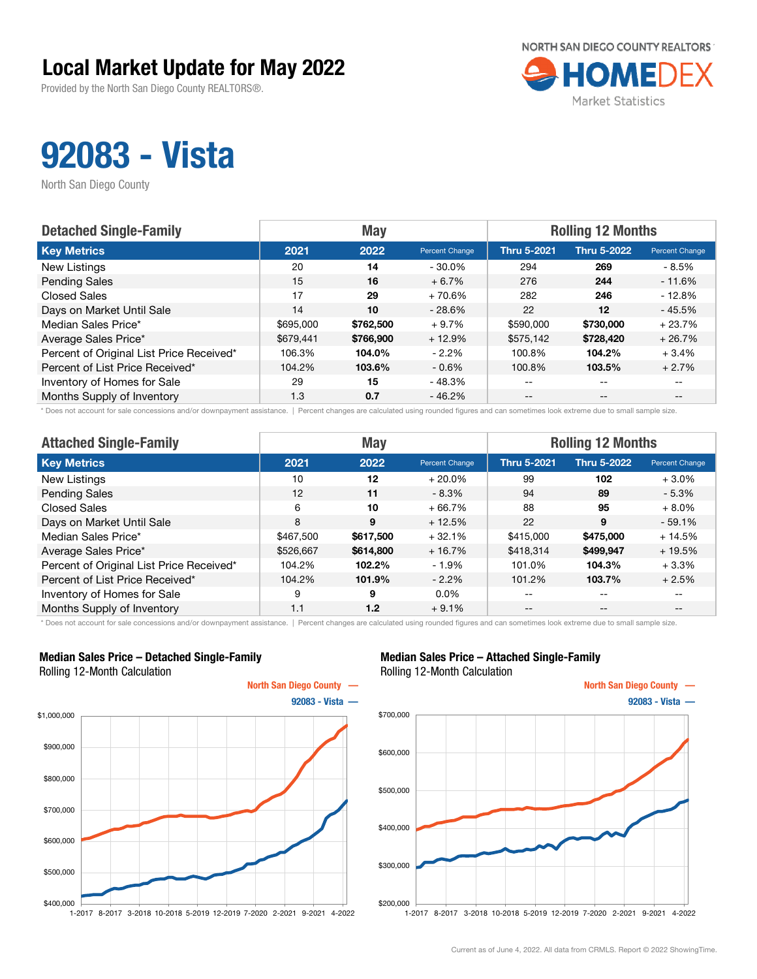Provided by the North San Diego County REALTORS®.



## 92083 - Vista

North San Diego County

| <b>Detached Single-Family</b>            |           | <b>May</b> |                | <b>Rolling 12 Months</b> |                    |                       |  |
|------------------------------------------|-----------|------------|----------------|--------------------------|--------------------|-----------------------|--|
| <b>Key Metrics</b>                       | 2021      | 2022       | Percent Change | <b>Thru 5-2021</b>       | <b>Thru 5-2022</b> | <b>Percent Change</b> |  |
| New Listings                             | 20        | 14         | $-30.0\%$      | 294                      | 269                | - 8.5%                |  |
| <b>Pending Sales</b>                     | 15        | 16         | $+6.7%$        | 276                      | 244                | $-11.6%$              |  |
| <b>Closed Sales</b>                      | 17        | 29         | $+70.6%$       | 282                      | 246                | $-12.8%$              |  |
| Days on Market Until Sale                | 14        | 10         | $-28.6%$       | 22                       | 12                 | $-45.5%$              |  |
| Median Sales Price*                      | \$695,000 | \$762,500  | $+9.7%$        | \$590,000                | \$730,000          | $+23.7%$              |  |
| Average Sales Price*                     | \$679,441 | \$766,900  | $+12.9%$       | \$575,142                | \$728,420          | $+26.7%$              |  |
| Percent of Original List Price Received* | 106.3%    | 104.0%     | $-2.2%$        | 100.8%                   | 104.2%             | $+3.4%$               |  |
| Percent of List Price Received*          | 104.2%    | 103.6%     | $-0.6\%$       | 100.8%                   | 103.5%             | $+2.7%$               |  |
| Inventory of Homes for Sale              | 29        | 15         | - 48.3%        | --                       | $- -$              |                       |  |
| Months Supply of Inventory               | 1.3       | 0.7        | $-46.2%$       | $- -$                    | $- -$              |                       |  |

\* Does not account for sale concessions and/or downpayment assistance. | Percent changes are calculated using rounded figures and can sometimes look extreme due to small sample size.

| <b>Attached Single-Family</b>            |           | <b>May</b> |                | <b>Rolling 12 Months</b> |                    |                |  |
|------------------------------------------|-----------|------------|----------------|--------------------------|--------------------|----------------|--|
| <b>Key Metrics</b>                       | 2021      | 2022       | Percent Change | <b>Thru 5-2021</b>       | <b>Thru 5-2022</b> | Percent Change |  |
| New Listings                             | 10        | 12         | $+20.0\%$      | 99                       | 102                | $+3.0%$        |  |
| <b>Pending Sales</b>                     | 12        | 11         | $-8.3\%$       | 94                       | 89                 | $-5.3\%$       |  |
| <b>Closed Sales</b>                      | 6         | 10         | $+66.7%$       | 88                       | 95                 | $+8.0%$        |  |
| Days on Market Until Sale                | 8         | 9          | $+12.5%$       | 22                       | 9                  | $-59.1%$       |  |
| Median Sales Price*                      | \$467,500 | \$617,500  | $+32.1%$       | \$415,000                | \$475,000          | $+14.5%$       |  |
| Average Sales Price*                     | \$526,667 | \$614,800  | $+16.7%$       | \$418,314                | \$499.947          | $+19.5%$       |  |
| Percent of Original List Price Received* | 104.2%    | 102.2%     | $-1.9%$        | 101.0%                   | 104.3%             | $+3.3%$        |  |
| Percent of List Price Received*          | 104.2%    | 101.9%     | $-2.2\%$       | 101.2%                   | 103.7%             | $+2.5%$        |  |
| Inventory of Homes for Sale              | 9         | 9          | $0.0\%$        | --                       | $- -$              | $- -$          |  |
| Months Supply of Inventory               | 1.1       | 1.2        | $+9.1%$        | $ -$                     | $- -$              | --             |  |

\* Does not account for sale concessions and/or downpayment assistance. | Percent changes are calculated using rounded figures and can sometimes look extreme due to small sample size.

#### Median Sales Price – Detached Single-Family Rolling 12-Month Calculation



#### Median Sales Price – Attached Single-Family Rolling 12-Month Calculation